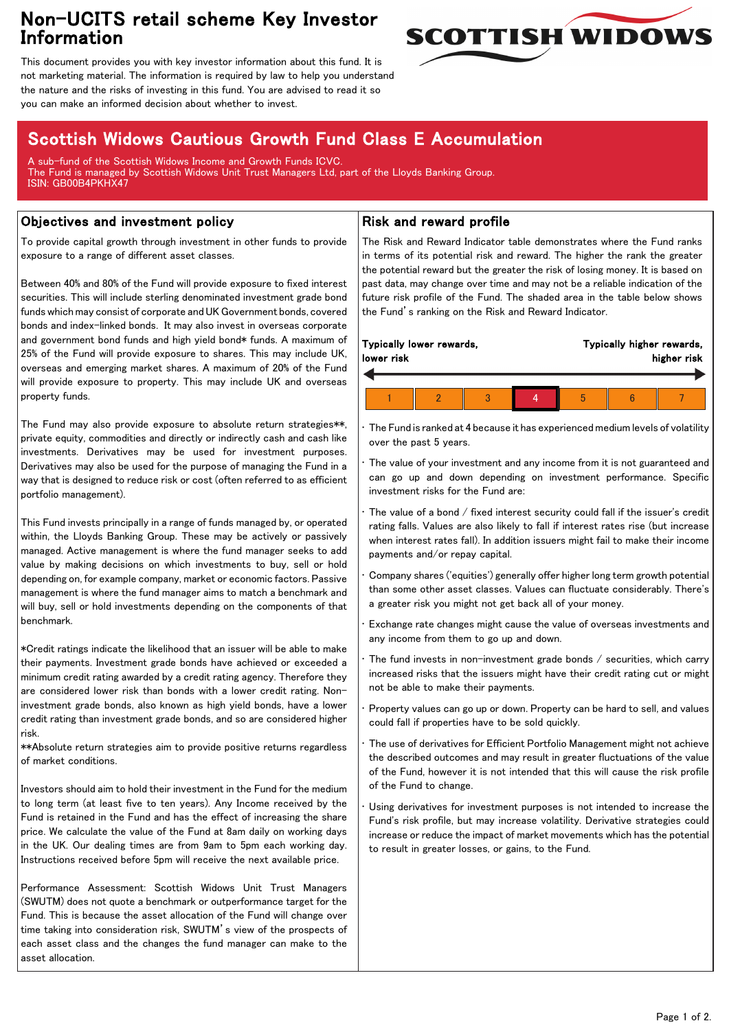## Non-UCITS retail scheme Key Investor Information



This document provides you with key investor information about this fund. It is not marketing material. The information is required by law to help you understand the nature and the risks of investing in this fund. You are advised to read it so you can make an informed decision about whether to invest.

# Scottish Widows Cautious Growth Fund Class E Accumulation

A sub-fund of the Scottish Widows Income and Growth Funds ICVC. The Fund is managed by Scottish Widows Unit Trust Managers Ltd, part of the Lloyds Banking Group. ISIN: GB00B4PKHX47

### Objectives and investment policy

To provide capital growth through investment in other funds to provide exposure to a range of different asset classes.

Between 40% and 80% of the Fund will provide exposure to fixed interest securities. This will include sterling denominated investment grade bond funds which may consist of corporate and UK Government bonds, covered bonds and index-linked bonds. It may also invest in overseas corporate and government bond funds and high yield bond\* funds. A maximum of 25% of the Fund will provide exposure to shares. This may include UK, overseas and emerging market shares. A maximum of 20% of the Fund will provide exposure to property. This may include UK and overseas property funds.

The Fund may also provide exposure to absolute return strategies\*\*, private equity, commodities and directly or indirectly cash and cash like investments. Derivatives may be used for investment purposes. Derivatives may also be used for the purpose of managing the Fund in a way that is designed to reduce risk or cost (often referred to as efficient portfolio management).

This Fund invests principally in a range of funds managed by, or operated within, the Lloyds Banking Group. These may be actively or passively managed. Active management is where the fund manager seeks to add value by making decisions on which investments to buy, sell or hold depending on, for example company, market or economic factors. Passive management is where the fund manager aims to match a benchmark and will buy, sell or hold investments depending on the components of that benchmark.

\*Credit ratings indicate the likelihood that an issuer will be able to make their payments. Investment grade bonds have achieved or exceeded a minimum credit rating awarded by a credit rating agency. Therefore they are considered lower risk than bonds with a lower credit rating. Noninvestment grade bonds, also known as high yield bonds, have a lower credit rating than investment grade bonds, and so are considered higher risk.

\*\*Absolute return strategies aim to provide positive returns regardless of market conditions.

Investors should aim to hold their investment in the Fund for the medium to long term (at least five to ten years). Any Income received by the Fund is retained in the Fund and has the effect of increasing the share price. We calculate the value of the Fund at 8am daily on working days in the UK. Our dealing times are from 9am to 5pm each working day. Instructions received before 5pm will receive the next available price.

Performance Assessment: Scottish Widows Unit Trust Managers (SWUTM) does not quote a benchmark or outperformance target for the Fund. This is because the asset allocation of the Fund will change over time taking into consideration risk, SWUTM's view of the prospects of each asset class and the changes the fund manager can make to the asset allocation.

### Risk and reward profile

The Risk and Reward Indicator table demonstrates where the Fund ranks in terms of its potential risk and reward. The higher the rank the greater the potential reward but the greater the risk of losing money. It is based on past data, may change over time and may not be a reliable indication of the future risk profile of the Fund. The shaded area in the table below shows the Fund's ranking on the Risk and Reward Indicator.

| lower risk | Typically lower rewards,<br>Typically higher rewards,<br>higher risk |  |   |  |  |
|------------|----------------------------------------------------------------------|--|---|--|--|
|            |                                                                      |  |   |  |  |
|            |                                                                      |  | h |  |  |

• The Fund is ranked at 4 because it has experienced medium levels of volatility over the past 5 years.

The value of your investment and any income from it is not guaranteed and can go up and down depending on investment performance. Specific investment risks for the Fund are:

• The value of a bond / fixed interest security could fall if the issuer's credit rating falls. Values are also likely to fall if interest rates rise (but increase when interest rates fall). In addition issuers might fail to make their income payments and/or repay capital.

• Company shares ('equities') generally offer higher long term growth potential than some other asset classes. Values can fluctuate considerably. There's a greater risk you might not get back all of your money.

• Exchange rate changes might cause the value of overseas investments and any income from them to go up and down.

The fund invests in non-investment grade bonds  $/$  securities, which carry increased risks that the issuers might have their credit rating cut or might not be able to make their payments.

• Property values can go up or down. Property can be hard to sell, and values could fall if properties have to be sold quickly.

• The use of derivatives for Efficient Portfolio Management might not achieve the described outcomes and may result in greater fluctuations of the value of the Fund, however it is not intended that this will cause the risk profile of the Fund to change.

Using derivatives for investment purposes is not intended to increase the Fund's risk profile, but may increase volatility. Derivative strategies could increase or reduce the impact of market movements which has the potential to result in greater losses, or gains, to the Fund.